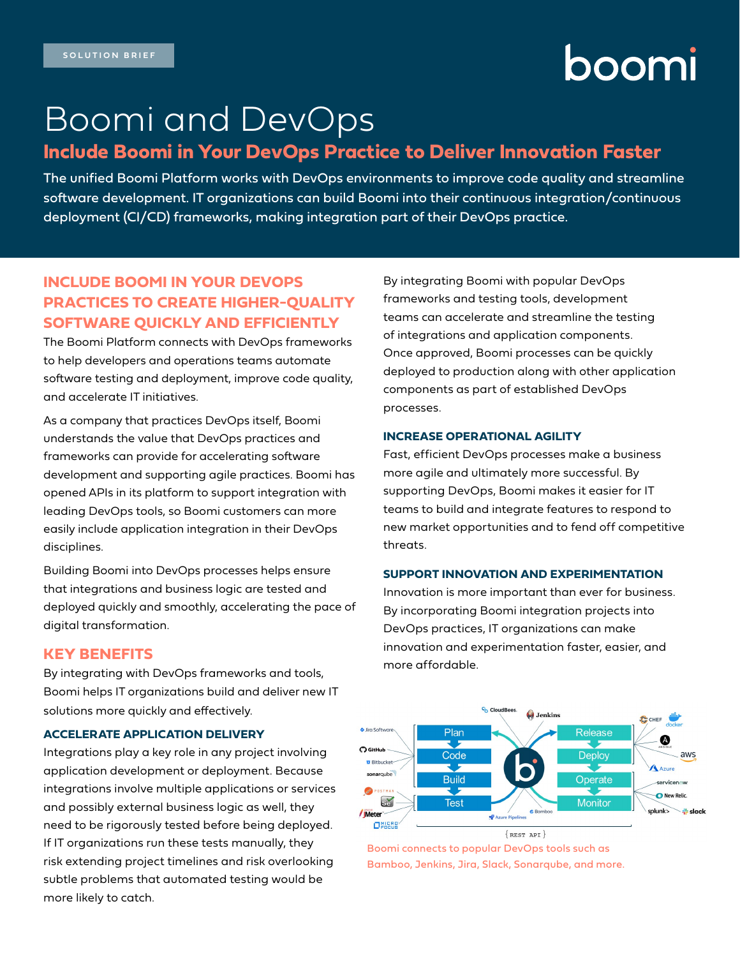# boomi

# Boomi and DevOps

# **Include Boomi in Your DevOps Practice to Deliver Innovation Faster**

The unified Boomi Platform works with DevOps environments to improve code quality and streamline software development. IT organizations can build Boomi into their continuous integration/continuous deployment (CI/CD) frameworks, making integration part of their DevOps practice.

# **INCLUDE BOOMI IN YOUR DEVOPS PRACTICES TO CREATE HIGHER-QUALITY SOFTWARE QUICKLY AND EFFICIENTLY**

The Boomi Platform connects with DevOps frameworks to help developers and operations teams automate software testing and deployment, improve code quality, and accelerate IT initiatives.

As a company that practices DevOps itself, Boomi understands the value that DevOps practices and frameworks can provide for accelerating software development and supporting agile practices. Boomi has opened APIs in its platform to support integration with leading DevOps tools, so Boomi customers can more easily include application integration in their DevOps disciplines.

Building Boomi into DevOps processes helps ensure that integrations and business logic are tested and deployed quickly and smoothly, accelerating the pace of digital transformation.

## **KEY BENEFITS**

By integrating with DevOps frameworks and tools, Boomi helps IT organizations build and deliver new IT solutions more quickly and effectively.

### **ACCELERATE APPLICATION DELIVERY**

Integrations play a key role in any project involving application development or deployment. Because integrations involve multiple applications or services and possibly external business logic as well, they need to be rigorously tested before being deployed. If IT organizations run these tests manually, they risk extending project timelines and risk overlooking subtle problems that automated testing would be more likely to catch.

By integrating Boomi with popular DevOps frameworks and testing tools, development teams can accelerate and streamline the testing of integrations and application components. Once approved, Boomi processes can be quickly deployed to production along with other application components as part of established DevOps processes.

### **INCREASE OPERATIONAL AGILITY**

Fast, efficient DevOps processes make a business more agile and ultimately more successful. By supporting DevOps, Boomi makes it easier for IT teams to build and integrate features to respond to new market opportunities and to fend off competitive threats.

#### **SUPPORT INNOVATION AND EXPERIMENTATION**

Innovation is more important than ever for business. By incorporating Boomi integration projects into DevOps practices, IT organizations can make innovation and experimentation faster, easier, and more affordable.



Boomi connects to popular DevOps tools such as Bamboo, Jenkins, Jira, Slack, Sonarqube, and more.